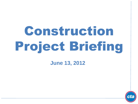# Construction Project Briefing

**June 13, 2012**

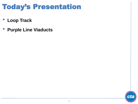## Today's Presentation

- **Loop Track**
- **Purple Line Viaducts**

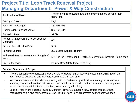| Justification of Need:                                    | The existing track system and the components are beyond their<br>useful life. |
|-----------------------------------------------------------|-------------------------------------------------------------------------------|
| <b>Priority of Project:</b>                               | High                                                                          |
| <b>Total Project Budget:</b>                              | \$53,026,306                                                                  |
| <b>Construction Contract Value:</b>                       | \$33,798,984                                                                  |
| Earned to Date:                                           | \$1.6M                                                                        |
| <b>Percent Change Orders to Construction</b><br>Contract: | $0\%$                                                                         |
| Percent Time Used to Date:                                | 50%                                                                           |
| <b>Funding Source:</b>                                    | 2010 State Capital Program                                                    |
| Estimated Start Date/Estimated Length of<br>Project:      | NTP issued September 14, 2011, 476 days to Substantial Completion             |
| <b>Project Manager:</b>                                   | Barney Gray (GM); Grace Ohs (PM)                                              |

#### **Detailed Overview of Scope:**

- The project consists of renewal of track on the Wells/Van Buren legs of the Loop, including Tower 18 and Tower 12 Junctions, and Hubbard Curve on the Brown Line.
- New components shall include ties, running rail, rail fasteners, guard rail, restraining rail, other track material, contact rail, contact rail insulators and anchors, footwalk, track access stairs, control panels, switch machines, rail lubricators, traction power and signal cabling.
- Special Track Work includes Tower 12 Junction, Tower 18 Junction, new double crossover near Washington/Wells and replacement of Left Hand & Right Hand crossovers near Adams/Wabash.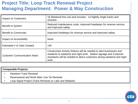| Impact on Customers:                | 16 Weekend line cuts and reroutes. 14 Nightly single tracks and<br>reroutes.                                                                                                                                                 |
|-------------------------------------|------------------------------------------------------------------------------------------------------------------------------------------------------------------------------------------------------------------------------|
| Benefit to System:                  | Reduced maintenance costs, improved headways for revenue service,<br>and improved safety.                                                                                                                                    |
| Benefit to Community:               | Improved headways for revenue service and improved safety.                                                                                                                                                                   |
| Impact on Accessibility:            | None.                                                                                                                                                                                                                        |
| Estimated # of Jobs Created:        | 140                                                                                                                                                                                                                          |
| <b>Customer Communication Need:</b> | Construction Activity Notices will be needed to alert businesses and<br>residents to weekend and night work. Station signage and Customer<br>Assistants will be needed to direct customers during weekend and night<br>work. |

#### **Comparable Projects:** • Dearborn Track Renewal • Ravenswood and North Main Line Tie Renewal

• Loop Signal Project (Track Renewal on Lake and Wabash)

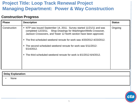#### **Construction Progress**

| <b>Phase</b> | <b>Description</b>                                                                                                                                                                                                                                                                                                                                                                                                                               | <b>Status</b> |
|--------------|--------------------------------------------------------------------------------------------------------------------------------------------------------------------------------------------------------------------------------------------------------------------------------------------------------------------------------------------------------------------------------------------------------------------------------------------------|---------------|
| Construction | • NTP was issued September 14, 2011. Survey started 11/21/11 and was<br>completed 12/23/11. Shop Drawings for Washington/Wells Crossover,<br>Jackson Crossovers, and Tower 12 North section have been approved.<br>. The first scheduled weekend reroute for work was 4/20/2012-4/23/2012.<br>. The second scheduled weekend reroute for work was 5/11/2012-<br>5/14/2012.<br>The third scheduled weekend reroute for work is 6/1/2012-6/4/2012. | Ongoing       |

| Delay Explanation: |      |
|--------------------|------|
|                    | None |
|                    |      |

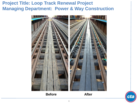

**Before** After



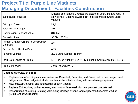## **Project Title: Purple Line Viaducts Managing Department: Facilities Construction**

| Justification of Need:                                    | Existing deteriorated viaducts are past their useful life and require<br>slow zones. Shoring towers exist in street and sidewalks under<br>viaducts. |
|-----------------------------------------------------------|------------------------------------------------------------------------------------------------------------------------------------------------------|
| <b>Priority of Project:</b>                               | High                                                                                                                                                 |
| <b>Total Project Budget:</b>                              | \$15.3M                                                                                                                                              |
| <b>Construction Contract Value:</b>                       | \$10.3M                                                                                                                                              |
| Earned to Date:                                           | $$5.6M$ (53.8%)                                                                                                                                      |
| <b>Percent Change Orders to Construction</b><br>Contract: | 0%                                                                                                                                                   |
| Percent Time Used to Date:                                | 46%                                                                                                                                                  |
| <b>Funding Source:</b>                                    | 2010 State Capital Program                                                                                                                           |
| Start Date/Length of Project:                             | NTP issued August 18, 2011; Substantial Completion: May 19, 2013                                                                                     |
| <b>Project Manager:</b>                                   | John Titzer (GM/PM)                                                                                                                                  |

#### **Detailed Overview of Scope:**

- Replacement of existing concrete viaducts at Greenleaf, Dempster, and Grove, with a new, longer steel bridge span. New bridge to include new ties, rail and ballast along with new drainage systems.
- New sidewalk, fencing, and landscaping at each viaduct.
- Replace 320 foot long timber retaining wall north of Greenleaf with new pre-cast concrete wall.
- Rehabilitation of existing retaining walls along Chicago Avenue, and adjacent to Greenleaf Viaduct (2,064 feet of wall repairs).

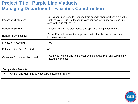## **Project Title: Purple Line Viaducts Managing Department: Facilities Construction**

| Impact on Customers:                | During non-rush periods, reduced train speeds when workers are on the<br>Right-of-Way. Bus Shuttles to replace rail service during weekend line<br>cuts for bridge roll-ins (2). |
|-------------------------------------|----------------------------------------------------------------------------------------------------------------------------------------------------------------------------------|
| Benefit to System:                  | Reduce Purple Line slow zones and upgrade aging infrastructure.                                                                                                                  |
| Benefit to Community:               | Faster Purple Line service, improved traffic flow through viaduct, and<br>improved aesthetics.                                                                                   |
| Impact on Accessibility:            | N/A                                                                                                                                                                              |
| Estimated # of Jobs Created:        | 40                                                                                                                                                                               |
| <b>Customer Communication Need:</b> | • Courtesy notifications to the local Evanston Alderman and community<br>about the project.                                                                                      |

#### **Comparable Projects:**

• Church and Main Street Viaduct Replacement Projects

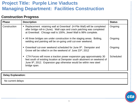## **Project Title: Purple Line Viaducts Managing Department: Facilities Construction**

#### **Construction Progress**

| <b>Phase</b> | <b>Description</b>                                                                                                                                                                                                                                 | <b>Status</b>    |
|--------------|----------------------------------------------------------------------------------------------------------------------------------------------------------------------------------------------------------------------------------------------------|------------------|
| Construction | • Replacement retaining wall at Greenleaf (H-Pile Wall) will be completed<br>after bridge roll-in (June). Wall caps and crack patching was completed<br>at Greenleaf. Chicago wall is 100%, Jewel Wall is 98% complete.                            |                  |
|              | • All three bridges are under construction in the staging areas. Bolting,<br>welding and painting will be on-going until cut-over weekend.                                                                                                         | Ongoing          |
|              | • Greenleaf cut-over weekend scheduled for June 9th. Dempster and<br>Grove will be rolled in on the weekend of June 23rd, 2012                                                                                                                     | Ongoing          |
|              | CTA Forces will move a traction power expansion gap approximately 30<br>feet south of existing location at Dempster south abutment on weekend of<br>June 9 <sup>th</sup> , 2012. Expansion gap otherwise would be within new steel<br>bridge span. | <b>Scheduled</b> |

**Delay Explanation:**

No current delays